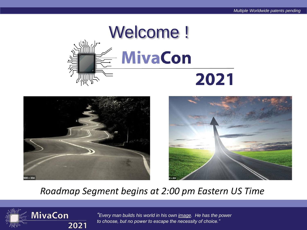





#### *Roadmap Segment begins at 2:00 pm Eastern US Time*



*"Every man builds his world in his own image. He has the power to choose, but no power to escape the necessity of choice."*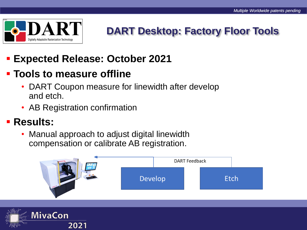

### **DART Desktop: Factory Floor Tools**

### ▪ **Expected Release: October 2021**

#### ▪ **Tools to measure offline**

- DART Coupon measure for linewidth after develop and etch.
- AB Registration confirmation

#### ▪ **Results:**

• Manual approach to adjust digital linewidth compensation or calibrate AB registration.



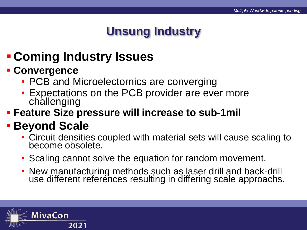## **Unsung Industry**

# ▪ **Coming Industry Issues**

#### ▪ **Convergence**

- PCB and Microelectornics are converging
- Expectations on the PCB provider are ever more challenging
- **EXECT FREETIER FIGHT FIGHT FIGHT FIGHT FIGHT FIGHT FIGHT FIGHT FIGHT FIGHT FIGHT FIGHT FIGHT FIGHT FIGHT FIGHT FIGHT FIGHT FIGHT FIGHT FIGHT FIGHT FIGHT FIGHT FIGHT FIGHT FIGHT FIGHT FIGHT FIGHT FIGHT FIGHT FIGHT FIGHT FI**

# ▪ **Beyond Scale**

- Circuit densities coupled with material sets will cause scaling to become obsolete.
- Scaling cannot solve the equation for random movement.
- New manufacturing methods such as laser drill and back-drill use different references resulting in differing scale approachs.

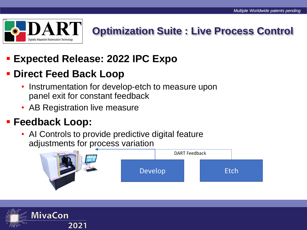

# **Optimization Suite : Live Process Control**

### ▪ **Expected Release: 2022 IPC Expo**

#### ▪ **Direct Feed Back Loop**

- Instrumentation for develop-etch to measure upon panel exit for constant feedback
- AB Registration live measure

#### ▪ **Feedback Loop:**

• AI Controls to provide predictive digital feature adjustments for process variation